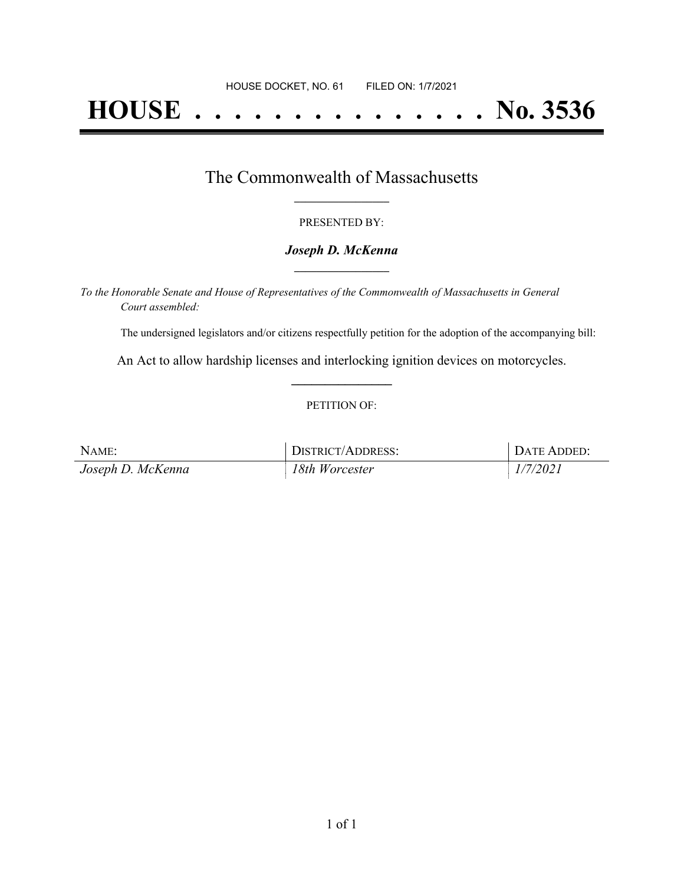# **HOUSE . . . . . . . . . . . . . . . No. 3536**

## The Commonwealth of Massachusetts **\_\_\_\_\_\_\_\_\_\_\_\_\_\_\_\_\_**

#### PRESENTED BY:

#### *Joseph D. McKenna* **\_\_\_\_\_\_\_\_\_\_\_\_\_\_\_\_\_**

*To the Honorable Senate and House of Representatives of the Commonwealth of Massachusetts in General Court assembled:*

The undersigned legislators and/or citizens respectfully petition for the adoption of the accompanying bill:

An Act to allow hardship licenses and interlocking ignition devices on motorcycles. **\_\_\_\_\_\_\_\_\_\_\_\_\_\_\_**

#### PETITION OF:

| NAME:             | DISTRICT/ADDRESS: | DATE ADDED: |
|-------------------|-------------------|-------------|
| Joseph D. McKenna | 18th Worcester    | 1/7/2021    |